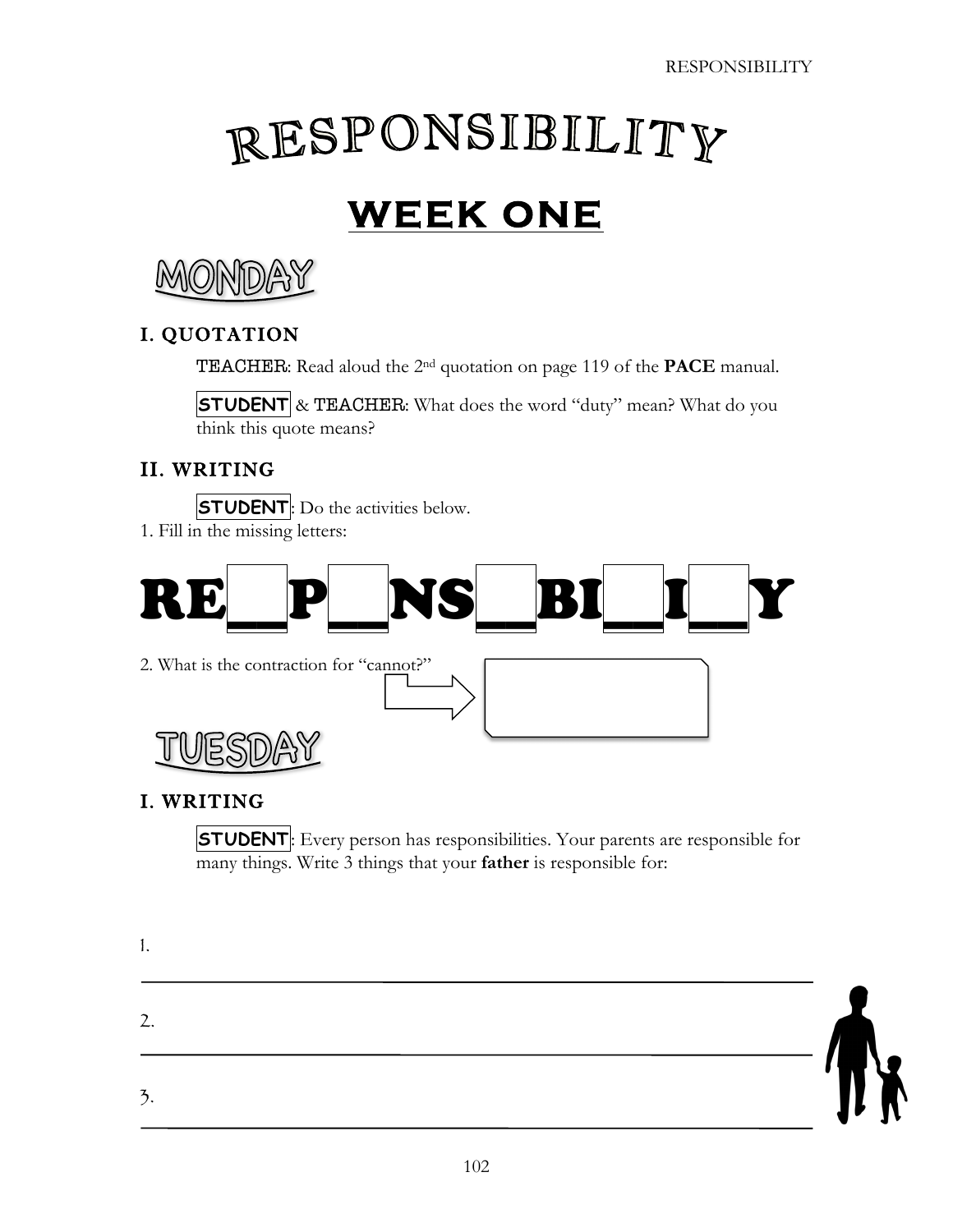# RESPONSIBILITY

# **WEEK ONE**



## I. QUOTATION

TEACHER: Read aloud the 2nd quotation on page 119 of the **PACE** manual.

**STUDENT** & TEACHER: What does the word "duty" mean? What do you think this quote means?

#### II. WRITING

**STUDENT**: Do the activities below. 1. Fill in the missing letters:



#### I. WRITING

1.

**STUDENT**: Every person has responsibilities. Your parents are responsible for many things. Write 3 things that your **father** is responsible for:

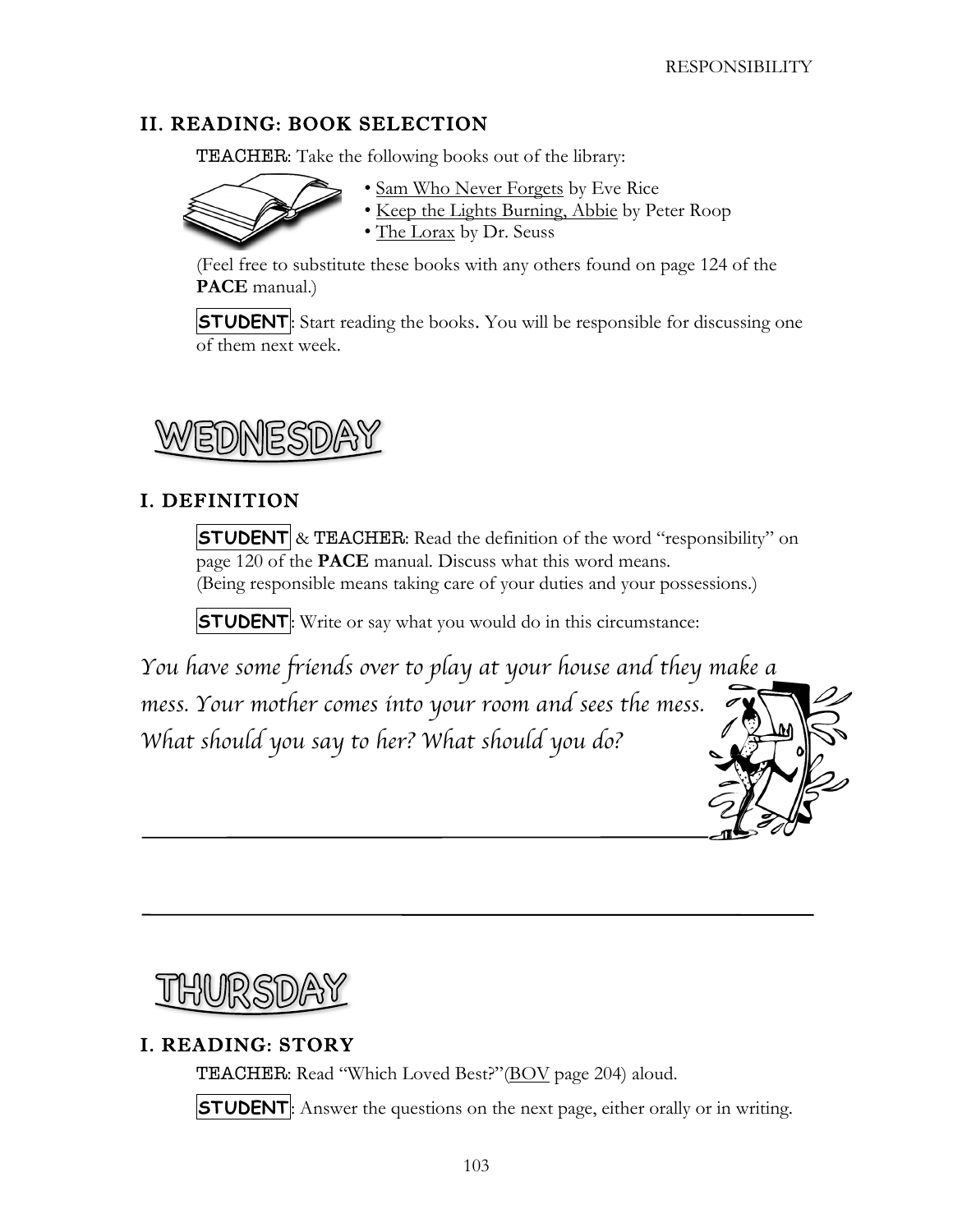#### II. READING: BOOK SELECTION

**TEACHER:** Take the following books out of the library:



- Sam Who Never Forgets by Eve Rice
- Keep the Lights Burning, Abbie by Peter Roop

• The Lorax by Dr. Seuss

(Feel free to substitute these books with any others found on page 124 of the **PACE** manual.)

**STUDENT**: Start reading the books. You will be responsible for discussing one of them next week.



#### I. DEFINITION

**STUDENT** & TEACHER: Read the definition of the word "responsibility" on page 120 of the **PACE** manual. Discuss what this word means. (Being responsible means taking care of your duties and your possessions.)

**STUDENT**: Write or say what you would do in this circumstance:

*You have some friends over to play at your house and they make a mess. Your mother comes into your room and sees the mess. What should you say to her? What should you do?* 



### I. READING: STORY

TEACHER: Read "Which Loved Best?"(BOV page 204) aloud.

**STUDENT**: Answer the questions on the next page, either orally or in writing.